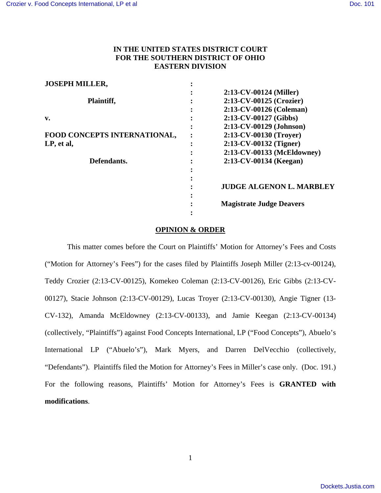# **IN THE UNITED STATES DISTRICT COURT FOR THE SOUTHERN DISTRICT OF OHIO EASTERN DIVISION**

| <b>JOSEPH MILLER,</b>        |                                 |
|------------------------------|---------------------------------|
|                              | $2:13$ -CV-00124 (Miller)       |
| Plaintiff,                   | 2:13-CV-00125 (Crozier)         |
|                              | 2:13-CV-00126 (Coleman)         |
| v.                           | 2:13-CV-00127 (Gibbs)           |
|                              | 2:13-CV-00129 (Johnson)         |
| FOOD CONCEPTS INTERNATIONAL, | 2:13-CV-00130 (Troyer)          |
| LP, et al,                   | 2:13-CV-00132 (Tigner)          |
|                              | 2:13-CV-00133 (McEldowney)      |
| Defendants.                  | 2:13-CV-00134 (Keegan)          |
|                              |                                 |
|                              |                                 |
|                              | <b>JUDGE ALGENON L. MARBLEY</b> |
|                              |                                 |
|                              | <b>Magistrate Judge Deavers</b> |
|                              |                                 |

## **OPINION & ORDER**

This matter comes before the Court on Plaintiffs' Motion for Attorney's Fees and Costs ("Motion for Attorney's Fees") for the cases filed by Plaintiffs Joseph Miller (2:13-cv-00124), Teddy Crozier (2:13-CV-00125), Komekeo Coleman (2:13-CV-00126), Eric Gibbs (2:13-CV-00127), Stacie Johnson (2:13-CV-00129), Lucas Troyer (2:13-CV-00130), Angie Tigner (13- CV-132), Amanda McEldowney (2:13-CV-00133), and Jamie Keegan (2:13-CV-00134) (collectively, "Plaintiffs") against Food Concepts International, LP ("Food Concepts"), Abuelo's International LP ("Abuelo's"), Mark Myers, and Darren DelVecchio (collectively, "Defendants"). Plaintiffs filed the Motion for Attorney's Fees in Miller's case only. (Doc. 191.) For the following reasons, Plaintiffs' Motion for Attorney's Fees is **GRANTED with modifications**.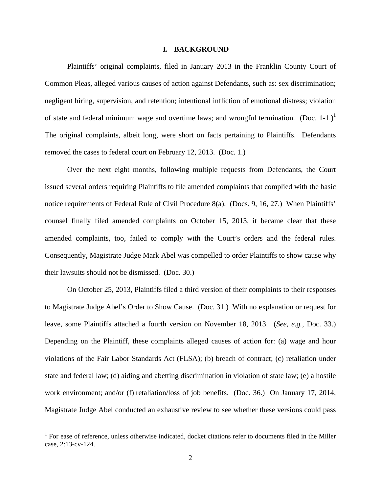#### **I. BACKGROUND**

Plaintiffs' original complaints, filed in January 2013 in the Franklin County Court of Common Pleas, alleged various causes of action against Defendants, such as: sex discrimination; negligent hiring, supervision, and retention; intentional infliction of emotional distress; violation of state and federal minimum wage and overtime laws; and wrongful termination. (Doc. 1-1.)<sup>1</sup> The original complaints, albeit long, were short on facts pertaining to Plaintiffs. Defendants removed the cases to federal court on February 12, 2013. (Doc. 1.)

Over the next eight months, following multiple requests from Defendants, the Court issued several orders requiring Plaintiffs to file amended complaints that complied with the basic notice requirements of Federal Rule of Civil Procedure 8(a). (Docs. 9, 16, 27.) When Plaintiffs' counsel finally filed amended complaints on October 15, 2013, it became clear that these amended complaints, too, failed to comply with the Court's orders and the federal rules. Consequently, Magistrate Judge Mark Abel was compelled to order Plaintiffs to show cause why their lawsuits should not be dismissed. (Doc. 30.)

On October 25, 2013, Plaintiffs filed a third version of their complaints to their responses to Magistrate Judge Abel's Order to Show Cause. (Doc. 31.) With no explanation or request for leave, some Plaintiffs attached a fourth version on November 18, 2013. (*See*, *e.g.*, Doc. 33.) Depending on the Plaintiff, these complaints alleged causes of action for: (a) wage and hour violations of the Fair Labor Standards Act (FLSA); (b) breach of contract; (c) retaliation under state and federal law; (d) aiding and abetting discrimination in violation of state law; (e) a hostile work environment; and/or (f) retaliation/loss of job benefits. (Doc. 36.) On January 17, 2014, Magistrate Judge Abel conducted an exhaustive review to see whether these versions could pass

<u>.</u>

<sup>&</sup>lt;sup>1</sup> For ease of reference, unless otherwise indicated, docket citations refer to documents filed in the Miller case, 2:13-cv-124.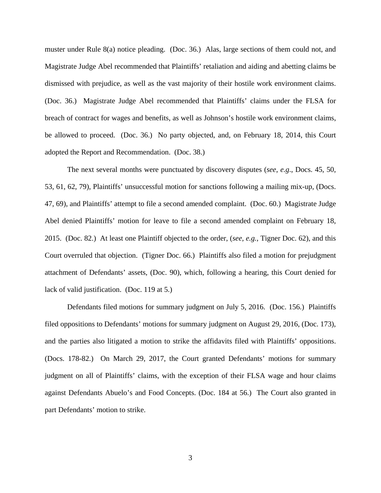muster under Rule 8(a) notice pleading. (Doc. 36.) Alas, large sections of them could not, and Magistrate Judge Abel recommended that Plaintiffs' retaliation and aiding and abetting claims be dismissed with prejudice, as well as the vast majority of their hostile work environment claims. (Doc. 36.) Magistrate Judge Abel recommended that Plaintiffs' claims under the FLSA for breach of contract for wages and benefits, as well as Johnson's hostile work environment claims, be allowed to proceed. (Doc. 36.) No party objected, and, on February 18, 2014, this Court adopted the Report and Recommendation. (Doc. 38.)

The next several months were punctuated by discovery disputes (*see*, *e.g*., Docs. 45, 50, 53, 61, 62, 79), Plaintiffs' unsuccessful motion for sanctions following a mailing mix-up, (Docs. 47, 69), and Plaintiffs' attempt to file a second amended complaint. (Doc. 60.) Magistrate Judge Abel denied Plaintiffs' motion for leave to file a second amended complaint on February 18, 2015. (Doc. 82.) At least one Plaintiff objected to the order, (*see, e.g.*, Tigner Doc. 62), and this Court overruled that objection. (Tigner Doc. 66.) Plaintiffs also filed a motion for prejudgment attachment of Defendants' assets, (Doc. 90), which, following a hearing, this Court denied for lack of valid justification. (Doc. 119 at 5.)

Defendants filed motions for summary judgment on July 5, 2016. (Doc. 156.) Plaintiffs filed oppositions to Defendants' motions for summary judgment on August 29, 2016, (Doc. 173), and the parties also litigated a motion to strike the affidavits filed with Plaintiffs' oppositions. (Docs. 178-82.) On March 29, 2017, the Court granted Defendants' motions for summary judgment on all of Plaintiffs' claims, with the exception of their FLSA wage and hour claims against Defendants Abuelo's and Food Concepts. (Doc. 184 at 56.) The Court also granted in part Defendants' motion to strike.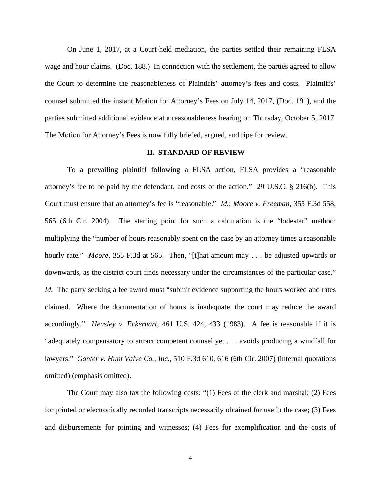On June 1, 2017, at a Court-held mediation, the parties settled their remaining FLSA wage and hour claims. (Doc. 188.) In connection with the settlement, the parties agreed to allow the Court to determine the reasonableness of Plaintiffs' attorney's fees and costs. Plaintiffs' counsel submitted the instant Motion for Attorney's Fees on July 14, 2017, (Doc. 191), and the parties submitted additional evidence at a reasonableness hearing on Thursday, October 5, 2017. The Motion for Attorney's Fees is now fully briefed, argued, and ripe for review.

### **II. STANDARD OF REVIEW**

To a prevailing plaintiff following a FLSA action, FLSA provides a "reasonable attorney's fee to be paid by the defendant, and costs of the action." 29 U.S.C. § 216(b). This Court must ensure that an attorney's fee is "reasonable." *Id.*; *Moore v. Freeman*, 355 F.3d 558, 565 (6th Cir. 2004). The starting point for such a calculation is the "lodestar" method: multiplying the "number of hours reasonably spent on the case by an attorney times a reasonable hourly rate." *Moore*, 355 F.3d at 565. Then, "[t]hat amount may . . . be adjusted upwards or downwards, as the district court finds necessary under the circumstances of the particular case." *Id.* The party seeking a fee award must "submit evidence supporting the hours worked and rates claimed. Where the documentation of hours is inadequate, the court may reduce the award accordingly." *Hensley v. Eckerhart*, 461 U.S. 424, 433 (1983). A fee is reasonable if it is "adequately compensatory to attract competent counsel yet . . . avoids producing a windfall for lawyers." *Gonter v. Hunt Valve Co., Inc*., 510 F.3d 610, 616 (6th Cir. 2007) (internal quotations omitted) (emphasis omitted).

The Court may also tax the following costs: "(1) Fees of the clerk and marshal; (2) Fees for printed or electronically recorded transcripts necessarily obtained for use in the case; (3) Fees and disbursements for printing and witnesses; (4) Fees for exemplification and the costs of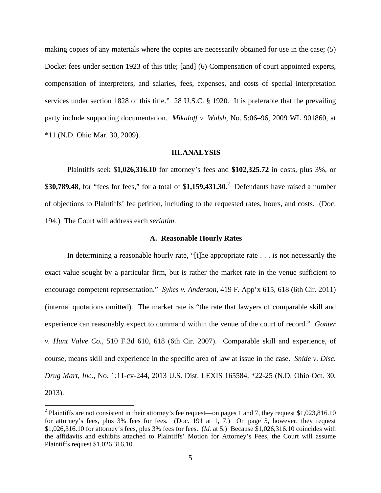making copies of any materials where the copies are necessarily obtained for use in the case; (5) Docket fees under section 1923 of this title; [and] (6) Compensation of court appointed experts, compensation of interpreters, and salaries, fees, expenses, and costs of special interpretation services under section 1828 of this title." 28 U.S.C. § 1920. It is preferable that the prevailing party include supporting documentation. *Mikaloff v. Walsh*, No. 5:06–96, 2009 WL 901860, at \*11 (N.D. Ohio Mar. 30, 2009).

### **III.ANALYSIS**

Plaintiffs seek \$**1,026,316.10** for attorney's fees and **\$102,325.72** in costs, plus 3%, or \$**30,789.48**, for "fees for fees," for a total of \$**1,159,431.30**. 2 Defendants have raised a number of objections to Plaintiffs' fee petition, including to the requested rates, hours, and costs. (Doc. 194.) The Court will address each *seriatim*.

#### **A. Reasonable Hourly Rates**

In determining a reasonable hourly rate, "[t]he appropriate rate . . . is not necessarily the exact value sought by a particular firm, but is rather the market rate in the venue sufficient to encourage competent representation." *Sykes v. Anderson*, 419 F. App'x 615, 618 (6th Cir. 2011) (internal quotations omitted). The market rate is "the rate that lawyers of comparable skill and experience can reasonably expect to command within the venue of the court of record." *Gonter v. Hunt Valve Co.,* 510 F.3d 610, 618 (6th Cir. 2007). Comparable skill and experience, of course, means skill and experience in the specific area of law at issue in the case. *Snide v. Disc. Drug Mart, Inc.*, No. 1:11-cv-244, 2013 U.S. Dist. LEXIS 165584, \*22-25 (N.D. Ohio Oct. 30, 2013).

 $\overline{a}$ 

<sup>&</sup>lt;sup>2</sup> Plaintiffs are not consistent in their attorney's fee request—on pages 1 and 7, they request \$1,023,816.10 for attorney's fees, plus 3% fees for fees. (Doc. 191 at 1, 7.) On page 5, however, they request \$1,026,316.10 for attorney's fees, plus 3% fees for fees. (*Id.* at 5.) Because \$1,026,316.10 coincides with the affidavits and exhibits attached to Plaintiffs' Motion for Attorney's Fees, the Court will assume Plaintiffs request \$1,026,316.10.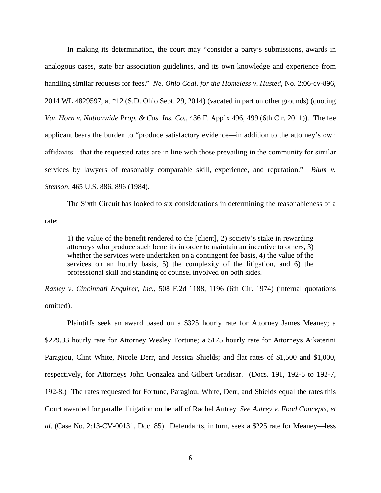In making its determination, the court may "consider a party's submissions, awards in analogous cases, state bar association guidelines, and its own knowledge and experience from handling similar requests for fees." *Ne. Ohio Coal. for the Homeless v. Husted*, No. 2:06-cv-896, 2014 WL 4829597, at \*12 (S.D. Ohio Sept. 29, 2014) (vacated in part on other grounds) (quoting *Van Horn v. Nationwide Prop. & Cas. Ins. Co.*, 436 F. App'x 496, 499 (6th Cir. 2011)). The fee applicant bears the burden to "produce satisfactory evidence—in addition to the attorney's own affidavits—that the requested rates are in line with those prevailing in the community for similar services by lawyers of reasonably comparable skill, experience, and reputation." *Blum v. Stenson*, 465 U.S. 886, 896 (1984).

The Sixth Circuit has looked to six considerations in determining the reasonableness of a rate:

1) the value of the benefit rendered to the [client], 2) society's stake in rewarding attorneys who produce such benefits in order to maintain an incentive to others, 3) whether the services were undertaken on a contingent fee basis, 4) the value of the services on an hourly basis, 5) the complexity of the litigation, and 6) the professional skill and standing of counsel involved on both sides.

*Ramey v. Cincinnati Enquirer, Inc.*, 508 F.2d 1188, 1196 (6th Cir. 1974) (internal quotations omitted).

Plaintiffs seek an award based on a \$325 hourly rate for Attorney James Meaney; a \$229.33 hourly rate for Attorney Wesley Fortune; a \$175 hourly rate for Attorneys Aikaterini Paragiou, Clint White, Nicole Derr, and Jessica Shields; and flat rates of \$1,500 and \$1,000, respectively, for Attorneys John Gonzalez and Gilbert Gradisar. (Docs. 191, 192-5 to 192-7, 192-8.) The rates requested for Fortune, Paragiou, White, Derr, and Shields equal the rates this Court awarded for parallel litigation on behalf of Rachel Autrey. *See Autrey v. Food Concepts, et al*. (Case No. 2:13-CV-00131, Doc. 85). Defendants, in turn, seek a \$225 rate for Meaney—less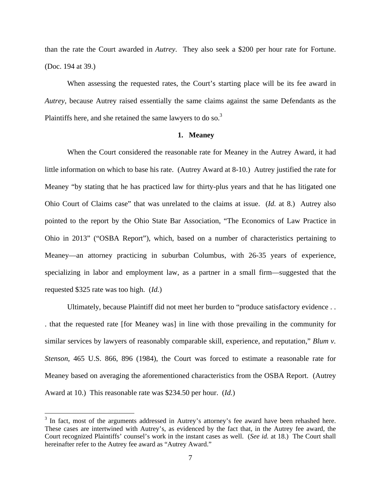than the rate the Court awarded in *Autrey*. They also seek a \$200 per hour rate for Fortune. (Doc. 194 at 39.)

When assessing the requested rates, the Court's starting place will be its fee award in *Autrey*, because Autrey raised essentially the same claims against the same Defendants as the Plaintiffs here, and she retained the same lawyers to do so. $3$ 

### **1. Meaney**

When the Court considered the reasonable rate for Meaney in the Autrey Award, it had little information on which to base his rate. (Autrey Award at 8-10.) Autrey justified the rate for Meaney "by stating that he has practiced law for thirty-plus years and that he has litigated one Ohio Court of Claims case" that was unrelated to the claims at issue. (*Id.* at 8.) Autrey also pointed to the report by the Ohio State Bar Association, "The Economics of Law Practice in Ohio in 2013" ("OSBA Report"), which, based on a number of characteristics pertaining to Meaney—an attorney practicing in suburban Columbus, with 26-35 years of experience, specializing in labor and employment law, as a partner in a small firm—suggested that the requested \$325 rate was too high. (*Id.*)

Ultimately, because Plaintiff did not meet her burden to "produce satisfactory evidence . . . that the requested rate [for Meaney was] in line with those prevailing in the community for similar services by lawyers of reasonably comparable skill, experience, and reputation," *Blum v. Stenson*, 465 U.S. 866, 896 (1984), the Court was forced to estimate a reasonable rate for Meaney based on averaging the aforementioned characteristics from the OSBA Report. (Autrey Award at 10.) This reasonable rate was \$234.50 per hour. (*Id.*)

 $\overline{a}$ 

 $3$  In fact, most of the arguments addressed in Autrey's attorney's fee award have been rehashed here. These cases are intertwined with Autrey's, as evidenced by the fact that, in the Autrey fee award, the Court recognized Plaintiffs' counsel's work in the instant cases as well. (*See id.* at 18.) The Court shall hereinafter refer to the Autrey fee award as "Autrey Award."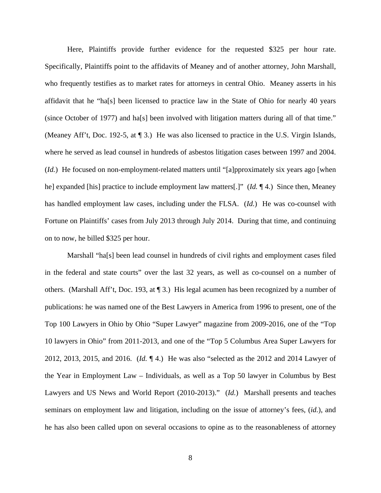Here, Plaintiffs provide further evidence for the requested \$325 per hour rate. Specifically, Plaintiffs point to the affidavits of Meaney and of another attorney, John Marshall, who frequently testifies as to market rates for attorneys in central Ohio. Meaney asserts in his affidavit that he "ha[s] been licensed to practice law in the State of Ohio for nearly 40 years (since October of 1977) and ha[s] been involved with litigation matters during all of that time." (Meaney Aff't, Doc. 192-5, at ¶ 3.) He was also licensed to practice in the U.S. Virgin Islands, where he served as lead counsel in hundreds of asbestos litigation cases between 1997 and 2004. (*Id.*) He focused on non-employment-related matters until "[a]pproximately six years ago [when he] expanded [his] practice to include employment law matters[.]" (*Id.* ¶ 4.) Since then, Meaney has handled employment law cases, including under the FLSA. (*Id.*) He was co-counsel with Fortune on Plaintiffs' cases from July 2013 through July 2014. During that time, and continuing on to now, he billed \$325 per hour.

Marshall "ha[s] been lead counsel in hundreds of civil rights and employment cases filed in the federal and state courts" over the last 32 years, as well as co-counsel on a number of others. (Marshall Aff't, Doc. 193, at ¶ 3.) His legal acumen has been recognized by a number of publications: he was named one of the Best Lawyers in America from 1996 to present, one of the Top 100 Lawyers in Ohio by Ohio "Super Lawyer" magazine from 2009-2016, one of the "Top 10 lawyers in Ohio" from 2011-2013, and one of the "Top 5 Columbus Area Super Lawyers for 2012, 2013, 2015, and 2016. (*Id.* ¶ 4.) He was also "selected as the 2012 and 2014 Lawyer of the Year in Employment Law – Individuals, as well as a Top 50 lawyer in Columbus by Best Lawyers and US News and World Report (2010-2013)." (*Id.*) Marshall presents and teaches seminars on employment law and litigation, including on the issue of attorney's fees, (*id.*), and he has also been called upon on several occasions to opine as to the reasonableness of attorney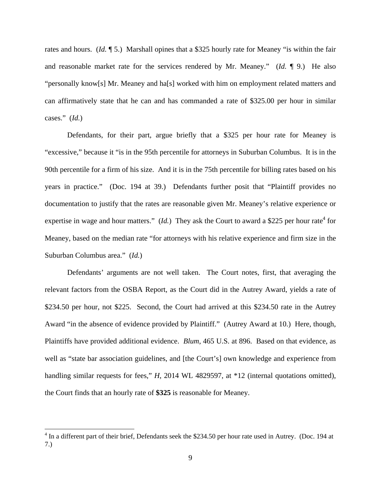rates and hours. (*Id.* ¶ 5.) Marshall opines that a \$325 hourly rate for Meaney "is within the fair and reasonable market rate for the services rendered by Mr. Meaney." (*Id.* ¶ 9.) He also "personally know[s] Mr. Meaney and ha[s] worked with him on employment related matters and can affirmatively state that he can and has commanded a rate of \$325.00 per hour in similar cases." (*Id.*)

Defendants, for their part, argue briefly that a \$325 per hour rate for Meaney is "excessive," because it "is in the 95th percentile for attorneys in Suburban Columbus. It is in the 90th percentile for a firm of his size. And it is in the 75th percentile for billing rates based on his years in practice." (Doc. 194 at 39.) Defendants further posit that "Plaintiff provides no documentation to justify that the rates are reasonable given Mr. Meaney's relative experience or expertise in wage and hour matters."  $(Id.)$  They ask the Court to award a \$225 per hour rate<sup>4</sup> for Meaney, based on the median rate "for attorneys with his relative experience and firm size in the Suburban Columbus area." (*Id.*)

Defendants' arguments are not well taken. The Court notes, first, that averaging the relevant factors from the OSBA Report, as the Court did in the Autrey Award, yields a rate of \$234.50 per hour, not \$225. Second, the Court had arrived at this \$234.50 rate in the Autrey Award "in the absence of evidence provided by Plaintiff." (Autrey Award at 10.) Here, though, Plaintiffs have provided additional evidence. *Blum*, 465 U.S. at 896. Based on that evidence, as well as "state bar association guidelines, and [the Court's] own knowledge and experience from handling similar requests for fees," *H*, 2014 WL 4829597, at \*12 (internal quotations omitted), the Court finds that an hourly rate of **\$325** is reasonable for Meaney.

<sup>&</sup>lt;sup>4</sup> In a different part of their brief, Defendants seek the \$234.50 per hour rate used in Autrey. (Doc. 194 at 7.)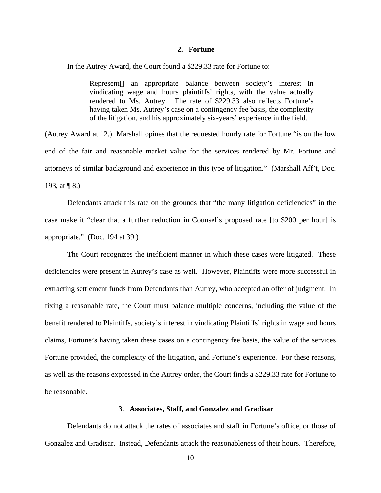#### **2. Fortune**

In the Autrey Award, the Court found a \$229.33 rate for Fortune to:

Represent[] an appropriate balance between society's interest in vindicating wage and hours plaintiffs' rights, with the value actually rendered to Ms. Autrey. The rate of \$229.33 also reflects Fortune's having taken Ms. Autrey's case on a contingency fee basis, the complexity of the litigation, and his approximately six-years' experience in the field.

(Autrey Award at 12.) Marshall opines that the requested hourly rate for Fortune "is on the low end of the fair and reasonable market value for the services rendered by Mr. Fortune and attorneys of similar background and experience in this type of litigation." (Marshall Aff't, Doc. 193, at ¶ 8.)

Defendants attack this rate on the grounds that "the many litigation deficiencies" in the case make it "clear that a further reduction in Counsel's proposed rate [to \$200 per hour] is appropriate." (Doc. 194 at 39.)

The Court recognizes the inefficient manner in which these cases were litigated. These deficiencies were present in Autrey's case as well. However, Plaintiffs were more successful in extracting settlement funds from Defendants than Autrey, who accepted an offer of judgment. In fixing a reasonable rate, the Court must balance multiple concerns, including the value of the benefit rendered to Plaintiffs, society's interest in vindicating Plaintiffs' rights in wage and hours claims, Fortune's having taken these cases on a contingency fee basis, the value of the services Fortune provided, the complexity of the litigation, and Fortune's experience. For these reasons, as well as the reasons expressed in the Autrey order, the Court finds a \$229.33 rate for Fortune to be reasonable.

### **3. Associates, Staff, and Gonzalez and Gradisar**

Defendants do not attack the rates of associates and staff in Fortune's office, or those of Gonzalez and Gradisar. Instead, Defendants attack the reasonableness of their hours. Therefore,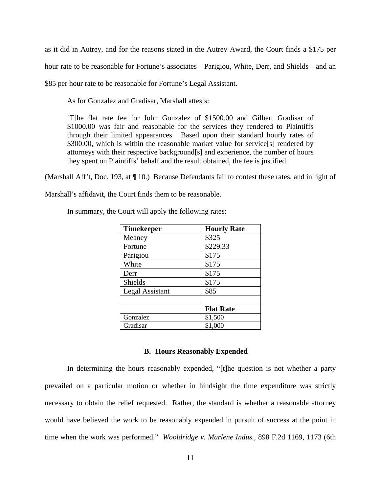as it did in Autrey, and for the reasons stated in the Autrey Award, the Court finds a \$175 per hour rate to be reasonable for Fortune's associates—Parigiou, White, Derr, and Shields—and an \$85 per hour rate to be reasonable for Fortune's Legal Assistant.

As for Gonzalez and Gradisar, Marshall attests:

[T]he flat rate fee for John Gonzalez of \$1500.00 and Gilbert Gradisar of \$1000.00 was fair and reasonable for the services they rendered to Plaintiffs through their limited appearances. Based upon their standard hourly rates of \$300.00, which is within the reasonable market value for service[s] rendered by attorneys with their respective background[s] and experience, the number of hours they spent on Plaintiffs' behalf and the result obtained, the fee is justified.

(Marshall Aff't, Doc. 193, at ¶ 10.) Because Defendants fail to contest these rates, and in light of

Marshall's affidavit, the Court finds them to be reasonable.

| <b>Timekeeper</b> | <b>Hourly Rate</b> |
|-------------------|--------------------|
| Meaney            | \$325              |
| Fortune           | \$229.33           |
| Parigiou          | \$175              |
| White             | \$175              |
| Derr              | \$175              |
| <b>Shields</b>    | \$175              |
| Legal Assistant   | \$85               |
|                   |                    |
|                   | <b>Flat Rate</b>   |
| Gonzalez          | \$1,500            |
| Gradisar          | \$1,000            |

In summary, the Court will apply the following rates:

### **B. Hours Reasonably Expended**

In determining the hours reasonably expended, "[t]he question is not whether a party prevailed on a particular motion or whether in hindsight the time expenditure was strictly necessary to obtain the relief requested. Rather, the standard is whether a reasonable attorney would have believed the work to be reasonably expended in pursuit of success at the point in time when the work was performed." *Wooldridge v. Marlene Indus.*, 898 F.2d 1169, 1173 (6th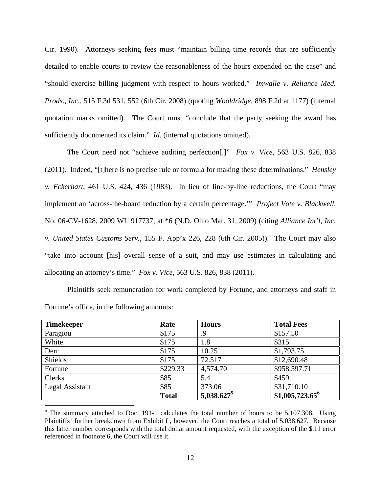Cir. 1990). Attorneys seeking fees must "maintain billing time records that are sufficiently detailed to enable courts to review the reasonableness of the hours expended on the case" and "should exercise billing judgment with respect to hours worked." *Imwalle v. Reliance Med. Prods*.*, Inc.*, 515 F.3d 531, 552 (6th Cir. 2008) (quoting *Wooldridge*, 898 F.2d at 1177) (internal quotation marks omitted). The Court must "conclude that the party seeking the award has sufficiently documented its claim." *Id.* (internal quotations omitted).

The Court need not "achieve auditing perfection[.]" *Fox v. Vice*, 563 U.S. 826, 838 (2011). Indeed, "[t]here is no precise rule or formula for making these determinations." *Hensley v. Eckerhart*, 461 U.S. 424, 436 (1983). In lieu of line-by-line reductions, the Court "may implement an 'across-the-board reduction by a certain percentage.'" *Project Vote v. Blackwell*, No. 06-CV-1628, 2009 WL 917737, at \*6 (N.D. Ohio Mar. 31, 2009) (citing *Alliance Int'l, Inc. v. United States Customs Serv.*, 155 F. App'x 226, 228 (6th Cir. 2005)). The Court may also "take into account [his] overall sense of a suit, and may use estimates in calculating and allocating an attorney's time." *Fox v. Vice*, 563 U.S. 826, 838 (2011).

Plaintiffs seek remuneration for work completed by Fortune, and attorneys and staff in Fortune's office, in the following amounts:

| <b>Timekeeper</b> | Rate         | <b>Hours</b>  | <b>Total Fees</b>           |
|-------------------|--------------|---------------|-----------------------------|
| Paragiou          | \$175        | .9            | \$157.50                    |
| White             | \$175        | 1.8           | \$315                       |
| Derr              | \$175        | 10.25         | \$1,793.75                  |
| Shields           | \$175        | 72.517        | \$12,690.48                 |
| Fortune           | \$229.33     | 4,574.70      | \$958,597.71                |
| Clerks            | \$85         | 5.4           | \$459                       |
| Legal Assistant   | \$85         | 373.06        | \$31,710.10                 |
|                   | <b>Total</b> | $5,038.627^5$ | \$1,005,723.65 <sup>6</sup> |

 $5$  The summary attached to Doc. 191-1 calculates the total number of hours to be 5,107.308. Using Plaintiffs' further breakdown from Exhibit L, however, the Court reaches a total of 5,038.627. Because this latter number corresponds with the total dollar amount requested, with the exception of the \$.11 error referenced in footnote 6, the Court will use it.

 $\overline{a}$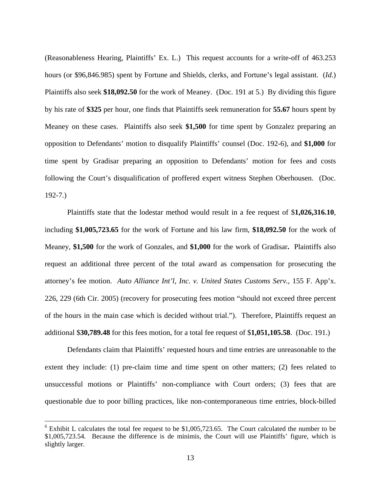(Reasonableness Hearing, Plaintiffs' Ex. L.) This request accounts for a write-off of 463.253 hours (or \$96,846.985) spent by Fortune and Shields, clerks, and Fortune's legal assistant. (*Id.*) Plaintiffs also seek **\$18,092.50** for the work of Meaney. (Doc. 191 at 5.) By dividing this figure by his rate of **\$325** per hour, one finds that Plaintiffs seek remuneration for **55.67** hours spent by Meaney on these cases. Plaintiffs also seek **\$1,500** for time spent by Gonzalez preparing an opposition to Defendants' motion to disqualify Plaintiffs' counsel (Doc. 192-6), and **\$1,000** for time spent by Gradisar preparing an opposition to Defendants' motion for fees and costs following the Court's disqualification of proffered expert witness Stephen Oberhousen. (Doc. 192-7.)

Plaintiffs state that the lodestar method would result in a fee request of \$**1,026,316.10**, including **\$1,005,723.65** for the work of Fortune and his law firm, **\$18,092.50** for the work of Meaney, **\$1,500** for the work of Gonzales, and **\$1,000** for the work of Gradisar**.** Plaintiffs also request an additional three percent of the total award as compensation for prosecuting the attorney's fee motion. *Auto Alliance Int'l, Inc. v. United States Customs Serv.*, 155 F. App'x. 226, 229 (6th Cir. 2005) (recovery for prosecuting fees motion "should not exceed three percent of the hours in the main case which is decided without trial."). Therefore, Plaintiffs request an additional \$**30,789.48** for this fees motion, for a total fee request of \$**1,051,105.58**. (Doc. 191.)

Defendants claim that Plaintiffs' requested hours and time entries are unreasonable to the extent they include: (1) pre-claim time and time spent on other matters; (2) fees related to unsuccessful motions or Plaintiffs' non-compliance with Court orders; (3) fees that are questionable due to poor billing practices, like non-contemporaneous time entries, block-billed

 $\overline{a}$ 

 $6$  Exhibit L calculates the total fee request to be \$1,005,723.65. The Court calculated the number to be \$1,005,723.54. Because the difference is de minimis, the Court will use Plaintiffs' figure, which is slightly larger.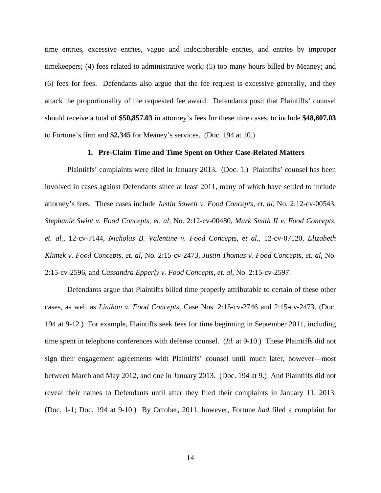time entries, excessive entries, vague and indecipherable entries, and entries by improper timekeepers; (4) fees related to administrative work; (5) too many hours billed by Meaney; and (6) fees for fees. Defendants also argue that the fee request is excessive generally, and they attack the proportionality of the requested fee award. Defendants posit that Plaintiffs' counsel should receive a total of **\$50,857.03** in attorney's fees for these nine cases, to include **\$48,607.03** to Fortune's firm and **\$2,345** for Meaney's services. (Doc. 194 at 10.)

### **1. Pre-Claim Time and Time Spent on Other Case-Related Matters**

Plaintiffs' complaints were filed in January 2013. (Doc. 1.) Plaintiffs' counsel has been involved in cases against Defendants since at least 2011, many of which have settled to include attorney's fees. These cases include *Justin Sowell v. Food Concepts, et. al*, No. 2:12-cv-00543, *Stephanie Swint v. Food Concepts, et. al*, No. 2:12-cv-00480, *Mark Smith II v. Food Concepts, et. al.,* 12-cv-7144, *Nicholas B. Valentine v. Food Concepts, et al.,* 12-cv-07120, *Elizabeth Klimek v. Food Concepts, et. al*, No. 2:15-cv-2473, *Justin Thomas v. Food Concepts, et. al*, No. 2:15-cv-2596, and *Cassandra Epperly v. Food Concepts, et. al*, No. 2:15-cv-2597.

Defendants argue that Plaintiffs billed time properly attributable to certain of these other cases, as well as *Linihan v. Food Concepts*, Case Nos. 2:15-cv-2746 and 2:15-cv-2473. (Doc. 194 at 9-12.) For example, Plaintiffs seek fees for time beginning in September 2011, including time spent in telephone conferences with defense counsel. (*Id.* at 9-10.) These Plaintiffs did not sign their engagement agreements with Plaintiffs' counsel until much later, however—most between March and May 2012, and one in January 2013. (Doc. 194 at 9.) And Plaintiffs did not reveal their names to Defendants until after they filed their complaints in January 11, 2013. (Doc. 1-1; Doc. 194 at 9-10.) By October, 2011, however, Fortune *had* filed a complaint for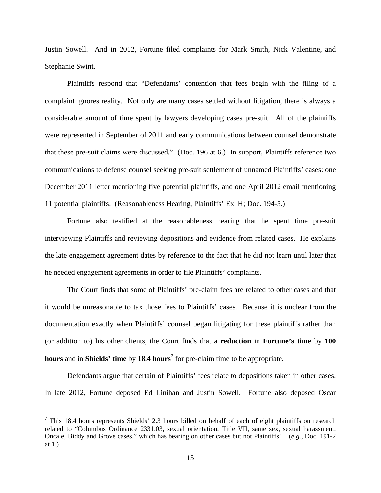Justin Sowell. And in 2012, Fortune filed complaints for Mark Smith, Nick Valentine, and Stephanie Swint.

Plaintiffs respond that "Defendants' contention that fees begin with the filing of a complaint ignores reality. Not only are many cases settled without litigation, there is always a considerable amount of time spent by lawyers developing cases pre-suit. All of the plaintiffs were represented in September of 2011 and early communications between counsel demonstrate that these pre-suit claims were discussed." (Doc. 196 at 6.) In support, Plaintiffs reference two communications to defense counsel seeking pre-suit settlement of unnamed Plaintiffs' cases: one December 2011 letter mentioning five potential plaintiffs, and one April 2012 email mentioning 11 potential plaintiffs. (Reasonableness Hearing, Plaintiffs' Ex. H; Doc. 194-5.)

Fortune also testified at the reasonableness hearing that he spent time pre-suit interviewing Plaintiffs and reviewing depositions and evidence from related cases. He explains the late engagement agreement dates by reference to the fact that he did not learn until later that he needed engagement agreements in order to file Plaintiffs' complaints.

The Court finds that some of Plaintiffs' pre-claim fees are related to other cases and that it would be unreasonable to tax those fees to Plaintiffs' cases. Because it is unclear from the documentation exactly when Plaintiffs' counsel began litigating for these plaintiffs rather than (or addition to) his other clients, the Court finds that a **reduction** in **Fortune's time** by **100 hours** and in **Shields' time** by **18.4 hours<sup>7</sup>** for pre-claim time to be appropriate.

Defendants argue that certain of Plaintiffs' fees relate to depositions taken in other cases. In late 2012, Fortune deposed Ed Linihan and Justin Sowell. Fortune also deposed Oscar

<u>.</u>

 $7$  This 18.4 hours represents Shields' 2.3 hours billed on behalf of each of eight plaintiffs on research related to "Columbus Ordinance 2331.03, sexual orientation, Title VII, same sex, sexual harassment, Oncale, Biddy and Grove cases," which has bearing on other cases but not Plaintiffs'. (*e.g.,* Doc. 191-2 at 1.)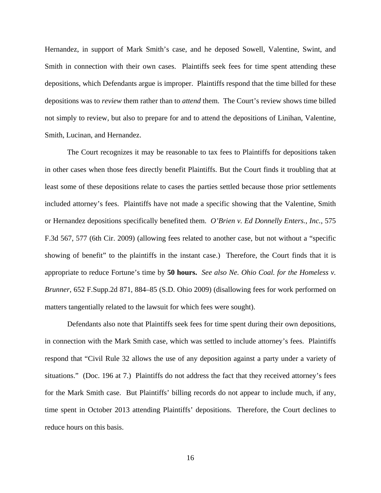Hernandez, in support of Mark Smith's case, and he deposed Sowell, Valentine, Swint, and Smith in connection with their own cases. Plaintiffs seek fees for time spent attending these depositions, which Defendants argue is improper. Plaintiffs respond that the time billed for these depositions was to *review* them rather than to *attend* them. The Court's review shows time billed not simply to review, but also to prepare for and to attend the depositions of Linihan, Valentine, Smith, Lucinan, and Hernandez.

The Court recognizes it may be reasonable to tax fees to Plaintiffs for depositions taken in other cases when those fees directly benefit Plaintiffs. But the Court finds it troubling that at least some of these depositions relate to cases the parties settled because those prior settlements included attorney's fees. Plaintiffs have not made a specific showing that the Valentine, Smith or Hernandez depositions specifically benefited them. *O'Brien v. Ed Donnelly Enters., Inc.,* 575 F.3d 567, 577 (6th Cir. 2009) (allowing fees related to another case, but not without a "specific showing of benefit" to the plaintiffs in the instant case.) Therefore, the Court finds that it is appropriate to reduce Fortune's time by **50 hours.** *See also Ne. Ohio Coal. for the Homeless v. Brunner*, 652 F.Supp.2d 871, 884–85 (S.D. Ohio 2009) (disallowing fees for work performed on matters tangentially related to the lawsuit for which fees were sought).

Defendants also note that Plaintiffs seek fees for time spent during their own depositions, in connection with the Mark Smith case, which was settled to include attorney's fees. Plaintiffs respond that "Civil Rule 32 allows the use of any deposition against a party under a variety of situations." (Doc. 196 at 7.) Plaintiffs do not address the fact that they received attorney's fees for the Mark Smith case. But Plaintiffs' billing records do not appear to include much, if any, time spent in October 2013 attending Plaintiffs' depositions. Therefore, the Court declines to reduce hours on this basis.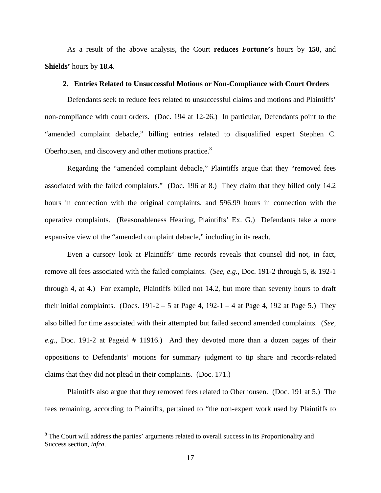As a result of the above analysis, the Court **reduces Fortune's** hours by **150**, and **Shields'** hours by **18.4**.

## **2. Entries Related to Unsuccessful Motions or Non-Compliance with Court Orders**

Defendants seek to reduce fees related to unsuccessful claims and motions and Plaintiffs' non-compliance with court orders. (Doc. 194 at 12-26.) In particular, Defendants point to the "amended complaint debacle," billing entries related to disqualified expert Stephen C. Oberhousen, and discovery and other motions practice.<sup>8</sup>

Regarding the "amended complaint debacle," Plaintiffs argue that they "removed fees associated with the failed complaints." (Doc. 196 at 8.) They claim that they billed only 14.2 hours in connection with the original complaints, and 596.99 hours in connection with the operative complaints. (Reasonableness Hearing, Plaintiffs' Ex. G.) Defendants take a more expansive view of the "amended complaint debacle," including in its reach.

Even a cursory look at Plaintiffs' time records reveals that counsel did not, in fact, remove all fees associated with the failed complaints. (*See*, *e.g.*, Doc. 191-2 through 5, & 192-1 through 4, at 4.) For example, Plaintiffs billed not 14.2, but more than seventy hours to draft their initial complaints. (Docs.  $191-2-5$  at Page 4,  $192-1-4$  at Page 4, 192 at Page 5.) They also billed for time associated with their attempted but failed second amended complaints. (*See, e.g.,* Doc. 191-2 at Pageid # 11916.) And they devoted more than a dozen pages of their oppositions to Defendants' motions for summary judgment to tip share and records-related claims that they did not plead in their complaints. (Doc. 171.)

Plaintiffs also argue that they removed fees related to Oberhousen. (Doc. 191 at 5.) The fees remaining, according to Plaintiffs, pertained to "the non-expert work used by Plaintiffs to

<u>.</u>

<sup>&</sup>lt;sup>8</sup> The Court will address the parties' arguments related to overall success in its Proportionality and Success section, *infra*.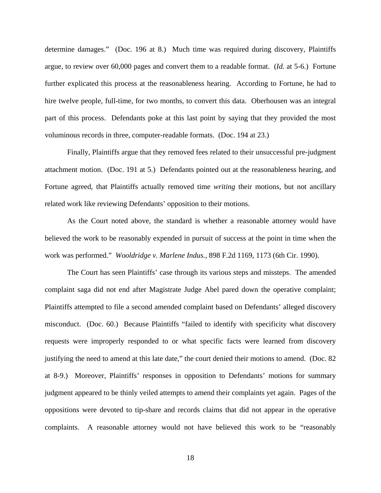determine damages." (Doc. 196 at 8.) Much time was required during discovery, Plaintiffs argue, to review over 60,000 pages and convert them to a readable format. (*Id.* at 5-6.) Fortune further explicated this process at the reasonableness hearing. According to Fortune, he had to hire twelve people, full-time, for two months, to convert this data. Oberhousen was an integral part of this process. Defendants poke at this last point by saying that they provided the most voluminous records in three, computer-readable formats. (Doc. 194 at 23.)

Finally, Plaintiffs argue that they removed fees related to their unsuccessful pre-judgment attachment motion. (Doc. 191 at 5.) Defendants pointed out at the reasonableness hearing, and Fortune agreed, that Plaintiffs actually removed time *writing* their motions, but not ancillary related work like reviewing Defendants' opposition to their motions.

As the Court noted above, the standard is whether a reasonable attorney would have believed the work to be reasonably expended in pursuit of success at the point in time when the work was performed." *Wooldridge v. Marlene Indus.*, 898 F.2d 1169, 1173 (6th Cir. 1990).

The Court has seen Plaintiffs' case through its various steps and missteps. The amended complaint saga did not end after Magistrate Judge Abel pared down the operative complaint; Plaintiffs attempted to file a second amended complaint based on Defendants' alleged discovery misconduct. (Doc. 60.) Because Plaintiffs "failed to identify with specificity what discovery requests were improperly responded to or what specific facts were learned from discovery justifying the need to amend at this late date," the court denied their motions to amend. (Doc. 82 at 8-9.) Moreover, Plaintiffs' responses in opposition to Defendants' motions for summary judgment appeared to be thinly veiled attempts to amend their complaints yet again. Pages of the oppositions were devoted to tip-share and records claims that did not appear in the operative complaints. A reasonable attorney would not have believed this work to be "reasonably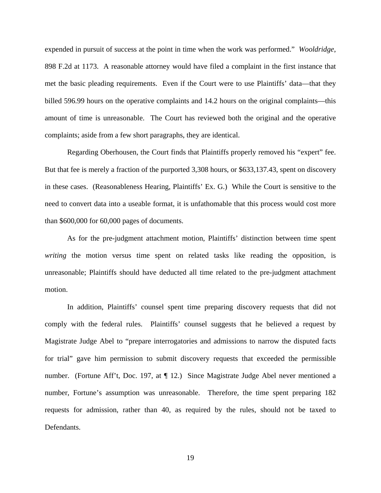expended in pursuit of success at the point in time when the work was performed." *Wooldridge*, 898 F.2d at 1173. A reasonable attorney would have filed a complaint in the first instance that met the basic pleading requirements. Even if the Court were to use Plaintiffs' data—that they billed 596.99 hours on the operative complaints and 14.2 hours on the original complaints—this amount of time is unreasonable. The Court has reviewed both the original and the operative complaints; aside from a few short paragraphs, they are identical.

Regarding Oberhousen, the Court finds that Plaintiffs properly removed his "expert" fee. But that fee is merely a fraction of the purported 3,308 hours, or \$633,137.43, spent on discovery in these cases. (Reasonableness Hearing, Plaintiffs' Ex. G.) While the Court is sensitive to the need to convert data into a useable format, it is unfathomable that this process would cost more than \$600,000 for 60,000 pages of documents.

As for the pre-judgment attachment motion, Plaintiffs' distinction between time spent *writing* the motion versus time spent on related tasks like reading the opposition, is unreasonable; Plaintiffs should have deducted all time related to the pre-judgment attachment motion.

In addition, Plaintiffs' counsel spent time preparing discovery requests that did not comply with the federal rules. Plaintiffs' counsel suggests that he believed a request by Magistrate Judge Abel to "prepare interrogatories and admissions to narrow the disputed facts for trial" gave him permission to submit discovery requests that exceeded the permissible number. (Fortune Aff't, Doc. 197, at ¶ 12.) Since Magistrate Judge Abel never mentioned a number, Fortune's assumption was unreasonable. Therefore, the time spent preparing 182 requests for admission, rather than 40, as required by the rules, should not be taxed to Defendants.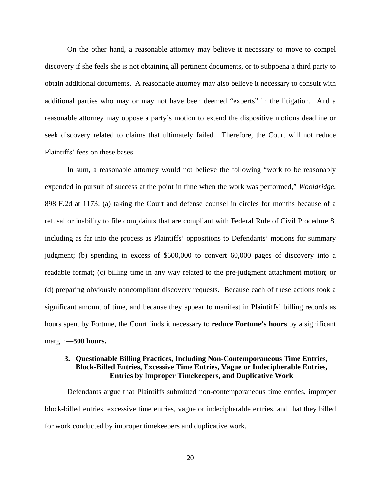On the other hand, a reasonable attorney may believe it necessary to move to compel discovery if she feels she is not obtaining all pertinent documents, or to subpoena a third party to obtain additional documents. A reasonable attorney may also believe it necessary to consult with additional parties who may or may not have been deemed "experts" in the litigation. And a reasonable attorney may oppose a party's motion to extend the dispositive motions deadline or seek discovery related to claims that ultimately failed. Therefore, the Court will not reduce Plaintiffs' fees on these bases.

In sum, a reasonable attorney would not believe the following "work to be reasonably expended in pursuit of success at the point in time when the work was performed," *Wooldridge*, 898 F.2d at 1173: (a) taking the Court and defense counsel in circles for months because of a refusal or inability to file complaints that are compliant with Federal Rule of Civil Procedure 8, including as far into the process as Plaintiffs' oppositions to Defendants' motions for summary judgment; (b) spending in excess of \$600,000 to convert 60,000 pages of discovery into a readable format; (c) billing time in any way related to the pre-judgment attachment motion; or (d) preparing obviously noncompliant discovery requests. Because each of these actions took a significant amount of time, and because they appear to manifest in Plaintiffs' billing records as hours spent by Fortune, the Court finds it necessary to **reduce Fortune's hours** by a significant margin—**500 hours.**

# **3. Questionable Billing Practices, Including Non-Contemporaneous Time Entries, Block-Billed Entries, Excessive Time Entries, Vague or Indecipherable Entries, Entries by Improper Timekeepers, and Duplicative Work**

Defendants argue that Plaintiffs submitted non-contemporaneous time entries, improper block-billed entries, excessive time entries, vague or indecipherable entries, and that they billed for work conducted by improper timekeepers and duplicative work.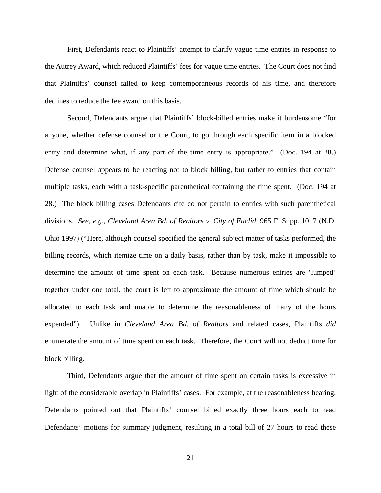First, Defendants react to Plaintiffs' attempt to clarify vague time entries in response to the Autrey Award, which reduced Plaintiffs' fees for vague time entries. The Court does not find that Plaintiffs' counsel failed to keep contemporaneous records of his time, and therefore declines to reduce the fee award on this basis.

Second, Defendants argue that Plaintiffs' block-billed entries make it burdensome "for anyone, whether defense counsel or the Court, to go through each specific item in a blocked entry and determine what, if any part of the time entry is appropriate." (Doc. 194 at 28.) Defense counsel appears to be reacting not to block billing, but rather to entries that contain multiple tasks, each with a task-specific parenthetical containing the time spent. (Doc. 194 at 28.) The block billing cases Defendants cite do not pertain to entries with such parenthetical divisions. *See, e.g., Cleveland Area Bd. of Realtors v. City of Euclid*, 965 F. Supp. 1017 (N.D. Ohio 1997) ("Here, although counsel specified the general subject matter of tasks performed, the billing records, which itemize time on a daily basis, rather than by task, make it impossible to determine the amount of time spent on each task. Because numerous entries are 'lumped' together under one total, the court is left to approximate the amount of time which should be allocated to each task and unable to determine the reasonableness of many of the hours expended"). Unlike in *Cleveland Area Bd. of Realtors* and related cases, Plaintiffs *did* enumerate the amount of time spent on each task. Therefore, the Court will not deduct time for block billing.

Third, Defendants argue that the amount of time spent on certain tasks is excessive in light of the considerable overlap in Plaintiffs' cases. For example, at the reasonableness hearing, Defendants pointed out that Plaintiffs' counsel billed exactly three hours each to read Defendants' motions for summary judgment, resulting in a total bill of 27 hours to read these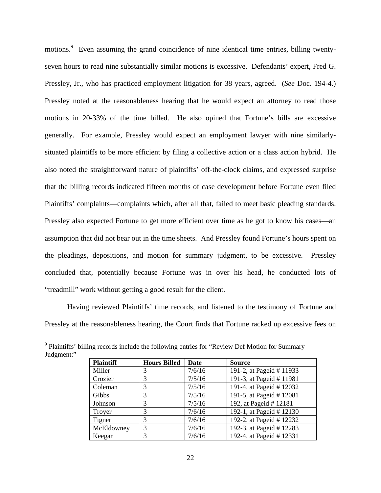motions.<sup>9</sup> Even assuming the grand coincidence of nine identical time entries, billing twentyseven hours to read nine substantially similar motions is excessive. Defendants' expert, Fred G. Pressley, Jr., who has practiced employment litigation for 38 years, agreed. (*See* Doc. 194-4.) Pressley noted at the reasonableness hearing that he would expect an attorney to read those motions in 20-33% of the time billed. He also opined that Fortune's bills are excessive generally. For example, Pressley would expect an employment lawyer with nine similarlysituated plaintiffs to be more efficient by filing a collective action or a class action hybrid. He also noted the straightforward nature of plaintiffs' off-the-clock claims, and expressed surprise that the billing records indicated fifteen months of case development before Fortune even filed Plaintiffs' complaints—complaints which, after all that, failed to meet basic pleading standards. Pressley also expected Fortune to get more efficient over time as he got to know his cases—an assumption that did not bear out in the time sheets. And Pressley found Fortune's hours spent on the pleadings, depositions, and motion for summary judgment, to be excessive. Pressley concluded that, potentially because Fortune was in over his head, he conducted lots of "treadmill" work without getting a good result for the client.

Having reviewed Plaintiffs' time records, and listened to the testimony of Fortune and Pressley at the reasonableness hearing, the Court finds that Fortune racked up excessive fees on

| <b>Plaintiff</b> | <b>Hours Billed</b> | Date   | <b>Source</b>            |
|------------------|---------------------|--------|--------------------------|
| Miller           | 3                   | 7/6/16 | 191-2, at Pageid # 11933 |
| Crozier          | 3                   | 7/5/16 | 191-3, at Pageid # 11981 |
| Coleman          | 3                   | 7/5/16 | 191-4, at Pageid # 12032 |
| Gibbs            | 3                   | 7/5/16 | 191-5, at Pageid #12081  |
| Johnson          | 3                   | 7/5/16 | 192, at Pageid # 12181   |
| Troyer           | 3                   | 7/6/16 | 192-1, at Pageid # 12130 |
| Tigner           | 3                   | 7/6/16 | 192-2, at Pageid # 12232 |
| McEldowney       | 3                   | 7/6/16 | 192-3, at Pageid # 12283 |
| Keegan           | 3                   | 7/6/16 | 192-4, at Pageid # 12331 |

Plaintiffs' billing records include the following entries for "Review Def Motion for Summary" Judgment:"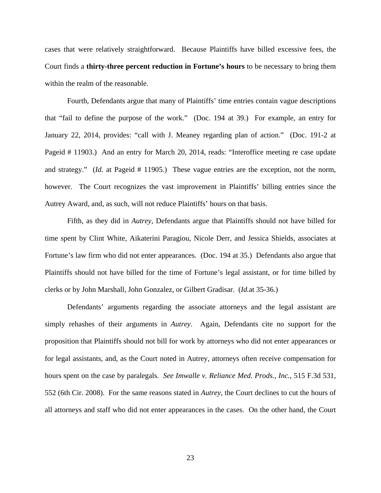cases that were relatively straightforward. Because Plaintiffs have billed excessive fees, the Court finds a **thirty-three percent reduction in Fortune's hours** to be necessary to bring them within the realm of the reasonable.

Fourth, Defendants argue that many of Plaintiffs' time entries contain vague descriptions that "fail to define the purpose of the work." (Doc. 194 at 39.) For example, an entry for January 22, 2014, provides: "call with J. Meaney regarding plan of action." (Doc. 191-2 at Pageid # 11903.) And an entry for March 20, 2014, reads: "Interoffice meeting re case update and strategy." *(Id.* at Pageid # 11905.) These vague entries are the exception, not the norm, however. The Court recognizes the vast improvement in Plaintiffs' billing entries since the Autrey Award, and, as such, will not reduce Plaintiffs' hours on that basis.

Fifth, as they did in *Autrey*, Defendants argue that Plaintiffs should not have billed for time spent by Clint White, Aikaterini Paragiou, Nicole Derr, and Jessica Shields, associates at Fortune's law firm who did not enter appearances. (Doc. 194 at 35.) Defendants also argue that Plaintiffs should not have billed for the time of Fortune's legal assistant, or for time billed by clerks or by John Marshall, John Gonzalez, or Gilbert Gradisar. (*Id.*at 35-36.)

Defendants' arguments regarding the associate attorneys and the legal assistant are simply rehashes of their arguments in *Autrey*. Again, Defendants cite no support for the proposition that Plaintiffs should not bill for work by attorneys who did not enter appearances or for legal assistants, and, as the Court noted in Autrey, attorneys often receive compensation for hours spent on the case by paralegals. *See Imwalle v. Reliance Med. Prods., Inc.*, 515 F.3d 531, 552 (6th Cir. 2008). For the same reasons stated in *Autrey*, the Court declines to cut the hours of all attorneys and staff who did not enter appearances in the cases. On the other hand, the Court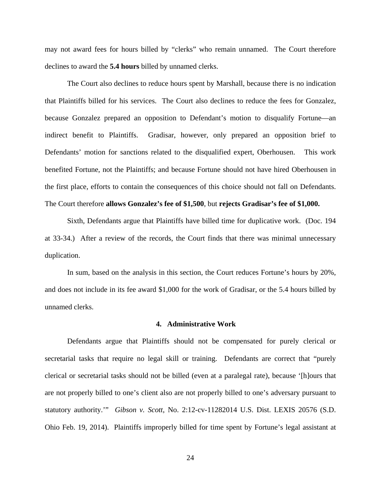may not award fees for hours billed by "clerks" who remain unnamed. The Court therefore declines to award the **5.4 hours** billed by unnamed clerks.

The Court also declines to reduce hours spent by Marshall, because there is no indication that Plaintiffs billed for his services. The Court also declines to reduce the fees for Gonzalez, because Gonzalez prepared an opposition to Defendant's motion to disqualify Fortune—an indirect benefit to Plaintiffs. Gradisar, however, only prepared an opposition brief to Defendants' motion for sanctions related to the disqualified expert, Oberhousen. This work benefited Fortune, not the Plaintiffs; and because Fortune should not have hired Oberhousen in the first place, efforts to contain the consequences of this choice should not fall on Defendants. The Court therefore **allows Gonzalez's fee of \$1,500**, but **rejects Gradisar's fee of \$1,000.**

Sixth, Defendants argue that Plaintiffs have billed time for duplicative work. (Doc. 194 at 33-34.) After a review of the records, the Court finds that there was minimal unnecessary duplication.

In sum, based on the analysis in this section, the Court reduces Fortune's hours by 20%, and does not include in its fee award \$1,000 for the work of Gradisar, or the 5.4 hours billed by unnamed clerks.

#### **4. Administrative Work**

Defendants argue that Plaintiffs should not be compensated for purely clerical or secretarial tasks that require no legal skill or training. Defendants are correct that "purely clerical or secretarial tasks should not be billed (even at a paralegal rate), because '[h]ours that are not properly billed to one's client also are not properly billed to one's adversary pursuant to statutory authority.'" *Gibson v. Scott*, No. 2:12-cv-11282014 U.S. Dist. LEXIS 20576 (S.D. Ohio Feb. 19, 2014). Plaintiffs improperly billed for time spent by Fortune's legal assistant at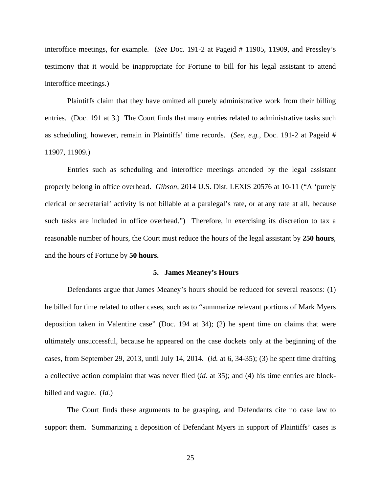interoffice meetings, for example. (*See* Doc. 191-2 at Pageid # 11905, 11909, and Pressley's testimony that it would be inappropriate for Fortune to bill for his legal assistant to attend interoffice meetings.)

Plaintiffs claim that they have omitted all purely administrative work from their billing entries. (Doc. 191 at 3.) The Court finds that many entries related to administrative tasks such as scheduling, however, remain in Plaintiffs' time records. (*See*, *e.g.*, Doc. 191-2 at Pageid # 11907, 11909.)

Entries such as scheduling and interoffice meetings attended by the legal assistant properly belong in office overhead. *Gibson*, 2014 U.S. Dist. LEXIS 20576 at 10-11 ("A 'purely clerical or secretarial' activity is not billable at a paralegal's rate, or at any rate at all, because such tasks are included in office overhead.") Therefore, in exercising its discretion to tax a reasonable number of hours, the Court must reduce the hours of the legal assistant by **250 hours**, and the hours of Fortune by **50 hours.**

#### **5. James Meaney's Hours**

Defendants argue that James Meaney's hours should be reduced for several reasons: (1) he billed for time related to other cases, such as to "summarize relevant portions of Mark Myers deposition taken in Valentine case" (Doc. 194 at 34); (2) he spent time on claims that were ultimately unsuccessful, because he appeared on the case dockets only at the beginning of the cases, from September 29, 2013, until July 14, 2014. (*id.* at 6, 34-35); (3) he spent time drafting a collective action complaint that was never filed (*id.* at 35); and (4) his time entries are blockbilled and vague. (*Id.*)

The Court finds these arguments to be grasping, and Defendants cite no case law to support them. Summarizing a deposition of Defendant Myers in support of Plaintiffs' cases is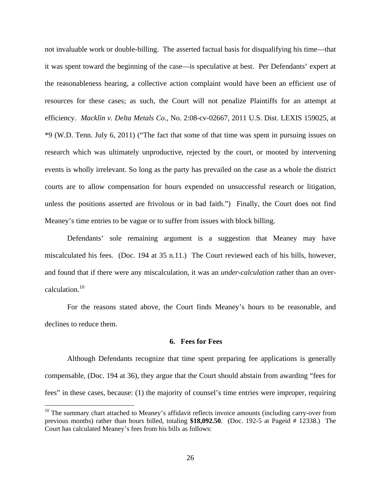not invaluable work or double-billing. The asserted factual basis for disqualifying his time—that it was spent toward the beginning of the case—is speculative at best. Per Defendants' expert at the reasonableness hearing, a collective action complaint would have been an efficient use of resources for these cases; as such, the Court will not penalize Plaintiffs for an attempt at efficiency. *Macklin v. Delta Metals Co.*, No. 2:08-cv-02667, 2011 U.S. Dist. LEXIS 159025, at \*9 (W.D. Tenn. July 6, 2011) ("The fact that some of that time was spent in pursuing issues on research which was ultimately unproductive, rejected by the court, or mooted by intervening events is wholly irrelevant. So long as the party has prevailed on the case as a whole the district courts are to allow compensation for hours expended on unsuccessful research or litigation, unless the positions asserted are frivolous or in bad faith.") Finally, the Court does not find Meaney's time entries to be vague or to suffer from issues with block billing.

Defendants' sole remaining argument is a suggestion that Meaney may have miscalculated his fees. (Doc. 194 at 35 n.11.) The Court reviewed each of his bills, however, and found that if there were any miscalculation, it was an *under-calculation* rather than an overcalculation.<sup>10</sup>

For the reasons stated above, the Court finds Meaney's hours to be reasonable, and declines to reduce them.

#### **6. Fees for Fees**

Although Defendants recognize that time spent preparing fee applications is generally compensable, (Doc. 194 at 36), they argue that the Court should abstain from awarding "fees for fees" in these cases, because: (1) the majority of counsel's time entries were improper, requiring

-

 $10$  The summary chart attached to Meaney's affidavit reflects invoice amounts (including carry-over from previous months) rather than hours billed, totaling **\$18,092.50**. (Doc. 192-5 at Pageid # 12338.) The Court has calculated Meaney's fees from his bills as follows: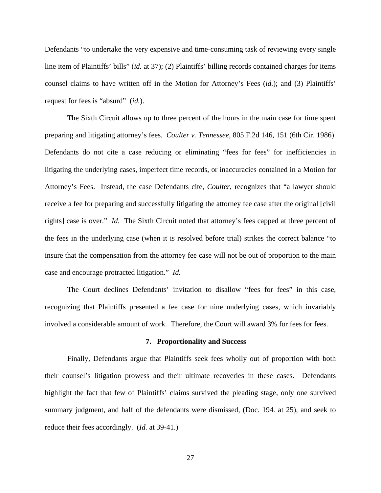Defendants "to undertake the very expensive and time-consuming task of reviewing every single line item of Plaintiffs' bills" (*id.* at 37); (2) Plaintiffs' billing records contained charges for items counsel claims to have written off in the Motion for Attorney's Fees (*id.*); and (3) Plaintiffs' request for fees is "absurd" (*id.*).

The Sixth Circuit allows up to three percent of the hours in the main case for time spent preparing and litigating attorney's fees. *Coulter v. Tennessee*, 805 F.2d 146, 151 (6th Cir. 1986). Defendants do not cite a case reducing or eliminating "fees for fees" for inefficiencies in litigating the underlying cases, imperfect time records, or inaccuracies contained in a Motion for Attorney's Fees. Instead, the case Defendants cite, *Coulter*, recognizes that "a lawyer should receive a fee for preparing and successfully litigating the attorney fee case after the original [civil rights] case is over." *Id.* The Sixth Circuit noted that attorney's fees capped at three percent of the fees in the underlying case (when it is resolved before trial) strikes the correct balance "to insure that the compensation from the attorney fee case will not be out of proportion to the main case and encourage protracted litigation." *Id.*

The Court declines Defendants' invitation to disallow "fees for fees" in this case, recognizing that Plaintiffs presented a fee case for nine underlying cases, which invariably involved a considerable amount of work. Therefore, the Court will award 3% for fees for fees.

#### **7. Proportionality and Success**

Finally, Defendants argue that Plaintiffs seek fees wholly out of proportion with both their counsel's litigation prowess and their ultimate recoveries in these cases. Defendants highlight the fact that few of Plaintiffs' claims survived the pleading stage, only one survived summary judgment, and half of the defendants were dismissed, (Doc. 194*.* at 25), and seek to reduce their fees accordingly. (*Id.* at 39-41.)

27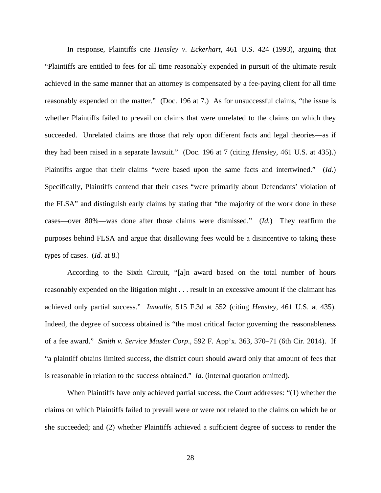In response, Plaintiffs cite *Hensley v. Eckerhart*, 461 U.S. 424 (1993), arguing that "Plaintiffs are entitled to fees for all time reasonably expended in pursuit of the ultimate result achieved in the same manner that an attorney is compensated by a fee-paying client for all time reasonably expended on the matter." (Doc. 196 at 7.) As for unsuccessful claims, "the issue is whether Plaintiffs failed to prevail on claims that were unrelated to the claims on which they succeeded. Unrelated claims are those that rely upon different facts and legal theories—as if they had been raised in a separate lawsuit." (Doc. 196 at 7 (citing *Hensley*, 461 U.S. at 435).) Plaintiffs argue that their claims "were based upon the same facts and intertwined." (*Id.*) Specifically, Plaintiffs contend that their cases "were primarily about Defendants' violation of the FLSA" and distinguish early claims by stating that "the majority of the work done in these cases—over 80%—was done after those claims were dismissed." (*Id.*) They reaffirm the purposes behind FLSA and argue that disallowing fees would be a disincentive to taking these types of cases. (*Id.* at 8.)

According to the Sixth Circuit, "[a]n award based on the total number of hours reasonably expended on the litigation might . . . result in an excessive amount if the claimant has achieved only partial success." *Imwalle*, 515 F.3d at 552 (citing *Hensley*, 461 U.S. at 435). Indeed, the degree of success obtained is "the most critical factor governing the reasonableness of a fee award." *Smith v. Service Master Corp*., 592 F. App'x. 363, 370–71 (6th Cir. 2014). If "a plaintiff obtains limited success, the district court should award only that amount of fees that is reasonable in relation to the success obtained." *Id.* (internal quotation omitted).

When Plaintiffs have only achieved partial success, the Court addresses: "(1) whether the claims on which Plaintiffs failed to prevail were or were not related to the claims on which he or she succeeded; and (2) whether Plaintiffs achieved a sufficient degree of success to render the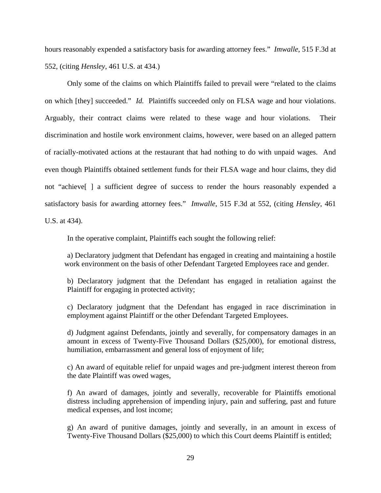hours reasonably expended a satisfactory basis for awarding attorney fees." *Imwalle*, 515 F.3d at 552, (citing *Hensley*, 461 U.S. at 434.)

Only some of the claims on which Plaintiffs failed to prevail were "related to the claims on which [they] succeeded." *Id.* Plaintiffs succeeded only on FLSA wage and hour violations. Arguably, their contract claims were related to these wage and hour violations. Their discrimination and hostile work environment claims, however, were based on an alleged pattern of racially-motivated actions at the restaurant that had nothing to do with unpaid wages. And even though Plaintiffs obtained settlement funds for their FLSA wage and hour claims, they did not "achieve[ ] a sufficient degree of success to render the hours reasonably expended a satisfactory basis for awarding attorney fees." *Imwalle*, 515 F.3d at 552, (citing *Hensley*, 461

U.S. at 434).

In the operative complaint, Plaintiffs each sought the following relief:

a) Declaratory judgment that Defendant has engaged in creating and maintaining a hostile work environment on the basis of other Defendant Targeted Employees race and gender.

b) Declaratory judgment that the Defendant has engaged in retaliation against the Plaintiff for engaging in protected activity;

c) Declaratory judgment that the Defendant has engaged in race discrimination in employment against Plaintiff or the other Defendant Targeted Employees.

d) Judgment against Defendants, jointly and severally, for compensatory damages in an amount in excess of Twenty-Five Thousand Dollars (\$25,000), for emotional distress, humiliation, embarrassment and general loss of enjoyment of life;

c) An award of equitable relief for unpaid wages and pre-judgment interest thereon from the date Plaintiff was owed wages,

f) An award of damages, jointly and severally, recoverable for Plaintiffs emotional distress including apprehension of impending injury, pain and suffering, past and future medical expenses, and lost income;

g) An award of punitive damages, jointly and severally, in an amount in excess of Twenty-Five Thousand Dollars (\$25,000) to which this Court deems Plaintiff is entitled;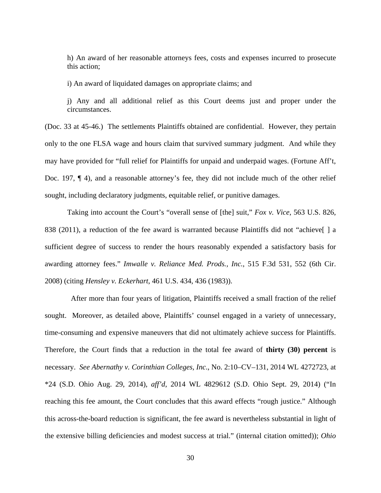h) An award of her reasonable attorneys fees, costs and expenses incurred to prosecute this action;

i) An award of liquidated damages on appropriate claims; and

j) Any and all additional relief as this Court deems just and proper under the circumstances.

(Doc. 33 at 45-46.) The settlements Plaintiffs obtained are confidential. However, they pertain only to the one FLSA wage and hours claim that survived summary judgment. And while they may have provided for "full relief for Plaintiffs for unpaid and underpaid wages. (Fortune Aff't, Doc. 197, ¶ 4), and a reasonable attorney's fee, they did not include much of the other relief sought, including declaratory judgments, equitable relief, or punitive damages.

Taking into account the Court's "overall sense of [the] suit," *Fox v. Vice*, 563 U.S. 826, 838 (2011), a reduction of the fee award is warranted because Plaintiffs did not "achieve[ ] a sufficient degree of success to render the hours reasonably expended a satisfactory basis for awarding attorney fees." *Imwalle v. Reliance Med. Prods., Inc.*, 515 F.3d 531, 552 (6th Cir. 2008) (citing *Hensley v. Eckerhart*, 461 U.S. 434, 436 (1983)).

 After more than four years of litigation, Plaintiffs received a small fraction of the relief sought. Moreover, as detailed above, Plaintiffs' counsel engaged in a variety of unnecessary, time-consuming and expensive maneuvers that did not ultimately achieve success for Plaintiffs. Therefore, the Court finds that a reduction in the total fee award of **thirty (30) percent** is necessary. *See Abernathy v. Corinthian Colleges, Inc*., No. 2:10–CV–131, 2014 WL 4272723, at \*24 (S.D. Ohio Aug. 29, 2014), *aff'd*, 2014 WL 4829612 (S.D. Ohio Sept. 29, 2014) ("In reaching this fee amount, the Court concludes that this award effects "rough justice." Although this across-the-board reduction is significant, the fee award is nevertheless substantial in light of the extensive billing deficiencies and modest success at trial." (internal citation omitted)); *Ohio*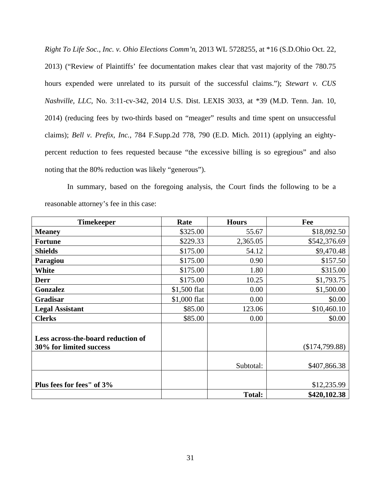*Right To Life Soc., Inc. v. Ohio Elections Comm'n*, 2013 WL 5728255, at \*16 (S.D.Ohio Oct. 22, 2013) ("Review of Plaintiffs' fee documentation makes clear that vast majority of the 780.75 hours expended were unrelated to its pursuit of the successful claims."); *Stewart v. CUS Nashville, LLC*, No. 3:11-cv-342, 2014 U.S. Dist. LEXIS 3033, at \*39 (M.D. Tenn. Jan. 10, 2014) (reducing fees by two-thirds based on "meager" results and time spent on unsuccessful claims); *Bell v. Prefix, Inc.,* 784 F.Supp.2d 778, 790 (E.D. Mich. 2011) (applying an eightypercent reduction to fees requested because "the excessive billing is so egregious" and also noting that the 80% reduction was likely "generous").

In summary, based on the foregoing analysis, the Court finds the following to be a reasonable attorney's fee in this case:

| <b>Timekeeper</b>                                             | Rate         | <b>Hours</b>  | Fee                         |
|---------------------------------------------------------------|--------------|---------------|-----------------------------|
| <b>Meaney</b>                                                 | \$325.00     | 55.67         | \$18,092.50                 |
| <b>Fortune</b>                                                | \$229.33     | 2,365.05      | \$542,376.69                |
| <b>Shields</b>                                                | \$175.00     | 54.12         | \$9,470.48                  |
| Paragiou                                                      | \$175.00     | 0.90          | \$157.50                    |
| White                                                         | \$175.00     | 1.80          | \$315.00                    |
| <b>Derr</b>                                                   | \$175.00     | 10.25         | \$1,793.75                  |
| Gonzalez                                                      | \$1,500 flat | 0.00          | \$1,500.00                  |
| Gradisar                                                      | \$1,000 flat | 0.00          | \$0.00                      |
| <b>Legal Assistant</b>                                        | \$85.00      | 123.06        | \$10,460.10                 |
| <b>Clerks</b>                                                 | \$85.00      | 0.00          | \$0.00                      |
| Less across-the-board reduction of<br>30% for limited success |              |               | (\$174,799.88)              |
|                                                               |              | Subtotal:     | \$407,866.38                |
| Plus fees for fees" of 3%                                     |              | <b>Total:</b> | \$12,235.99<br>\$420,102.38 |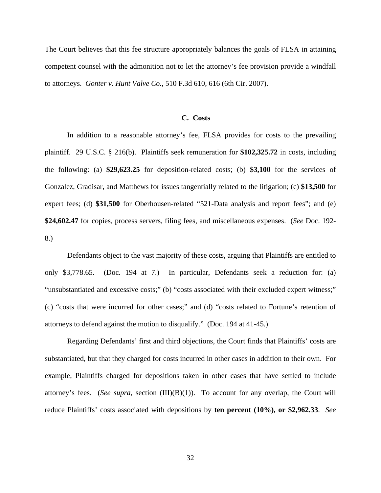The Court believes that this fee structure appropriately balances the goals of FLSA in attaining competent counsel with the admonition not to let the attorney's fee provision provide a windfall to attorneys. *Gonter v. Hunt Valve Co.*, 510 F.3d 610, 616 (6th Cir. 2007).

### **C. Costs**

In addition to a reasonable attorney's fee, FLSA provides for costs to the prevailing plaintiff. 29 U.S.C. § 216(b). Plaintiffs seek remuneration for **\$102,325.72** in costs, including the following: (a) **\$29,623.25** for deposition-related costs; (b) **\$3,100** for the services of Gonzalez, Gradisar, and Matthews for issues tangentially related to the litigation; (c) **\$13,500** for expert fees; (d) **\$31,500** for Oberhousen-related "521-Data analysis and report fees"; and (e) **\$24,602.47** for copies, process servers, filing fees, and miscellaneous expenses. (*See* Doc. 192- 8.)

Defendants object to the vast majority of these costs, arguing that Plaintiffs are entitled to only \$3,778.65. (Doc. 194 at 7.) In particular, Defendants seek a reduction for: (a) "unsubstantiated and excessive costs;" (b) "costs associated with their excluded expert witness;" (c) "costs that were incurred for other cases;" and (d) "costs related to Fortune's retention of attorneys to defend against the motion to disqualify." (Doc. 194 at 41-45.)

Regarding Defendants' first and third objections, the Court finds that Plaintiffs' costs are substantiated, but that they charged for costs incurred in other cases in addition to their own. For example, Plaintiffs charged for depositions taken in other cases that have settled to include attorney's fees. (*See supra*, section (III)(B)(1)). To account for any overlap, the Court will reduce Plaintiffs' costs associated with depositions by **ten percent (10%), or \$2,962.33**. *See*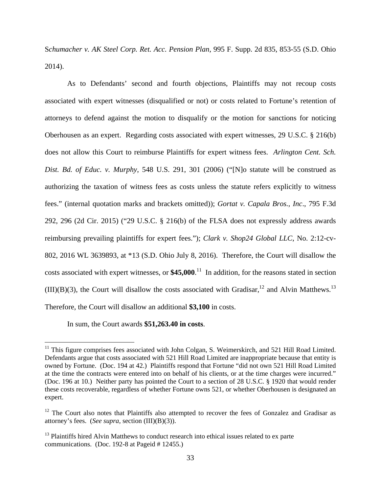S*chumacher v. AK Steel Corp. Ret. Acc. Pension Plan*, 995 F. Supp. 2d 835, 853-55 (S.D. Ohio 2014).

As to Defendants' second and fourth objections, Plaintiffs may not recoup costs associated with expert witnesses (disqualified or not) or costs related to Fortune's retention of attorneys to defend against the motion to disqualify or the motion for sanctions for noticing Oberhousen as an expert. Regarding costs associated with expert witnesses, 29 U.S.C. § 216(b) does not allow this Court to reimburse Plaintiffs for expert witness fees. *Arlington Cent. Sch. Dist. Bd. of Educ. v. Murphy*, 548 U.S. 291, 301 (2006) ("[N]o statute will be construed as authorizing the taxation of witness fees as costs unless the statute refers explicitly to witness fees." (internal quotation marks and brackets omitted)); *Gortat v. Capala Bros., Inc*., 795 F.3d 292, 296 (2d Cir. 2015) ("29 U.S.C. § 216(b) of the FLSA does not expressly address awards reimbursing prevailing plaintiffs for expert fees."); *Clark v. Shop24 Global LLC*, No. 2:12-cv-802, 2016 WL 3639893, at \*13 (S.D. Ohio July 8, 2016). Therefore, the Court will disallow the costs associated with expert witnesses, or **\$45,000**. <sup>11</sup> In addition, for the reasons stated in section  $(III)(B)(3)$ , the Court will disallow the costs associated with Gradisar,<sup>12</sup> and Alvin Matthews.<sup>13</sup> Therefore, the Court will disallow an additional **\$3,100** in costs.

In sum, the Court awards **\$51,263.40 in costs**.

<u>.</u>

 $11$  This figure comprises fees associated with John Colgan, S. Weimerskirch, and 521 Hill Road Limited. Defendants argue that costs associated with 521 Hill Road Limited are inappropriate because that entity is owned by Fortune. (Doc. 194 at 42.) Plaintiffs respond that Fortune "did not own 521 Hill Road Limited at the time the contracts were entered into on behalf of his clients, or at the time charges were incurred." (Doc. 196 at 10.) Neither party has pointed the Court to a section of 28 U.S.C. § 1920 that would render these costs recoverable, regardless of whether Fortune owns 521, or whether Oberhousen is designated an expert.

<sup>&</sup>lt;sup>12</sup> The Court also notes that Plaintiffs also attempted to recover the fees of Gonzalez and Gradisar as attorney's fees. (*See supra,* section (III)(B)(3)).

<sup>&</sup>lt;sup>13</sup> Plaintiffs hired Alvin Matthews to conduct research into ethical issues related to ex parte communications. (Doc. 192-8 at Pageid # 12455.)